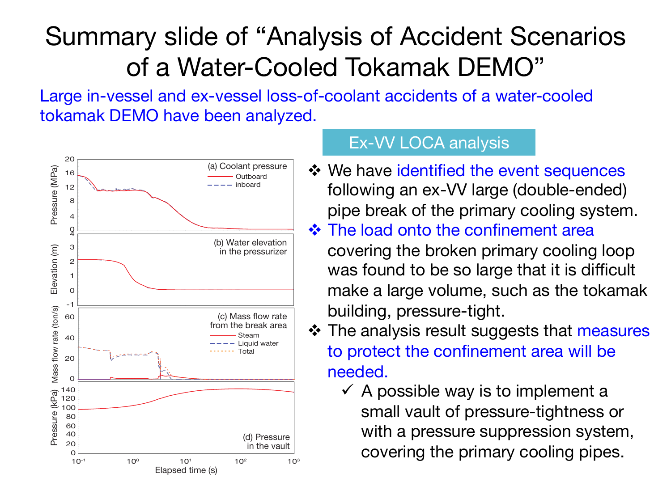## Summary slide of "Analysis of Accident Scenarios of a Water-Cooled Tokamak DEMO" Coolant water inventory per a primary cooling loop 240 m<sup>3</sup>/loop Inner diameter of the broken control of the broken control of the broken cooling pipe  $\mathcal{L}$

Large in-vessel and ex-vessel loss-of-coolant accidents of a water-cooled tokamak DEMO have been analyzed. Break area of the state of the state of the state of the state of the state of the Large in-vessel and ex-vessel id



## Ex-VV LOCA analysis

- **\*** We have identified the event sequences following an ex-VV large (double-ended) pipe break of the primary cooling system.  $\cdot$  The load onto the confinement area covering the broken primary cooling loop was found to be so large that it is difficult make a large volume, such as the tokamak building, pressure-tight.
- ❖ The analysis result suggests that measures to protect the confinement area will be needed.
	- $\checkmark$  A possible way is to implement a small vault of pressure-tightness or with a pressure suppression system, covering the primary cooling pipes.